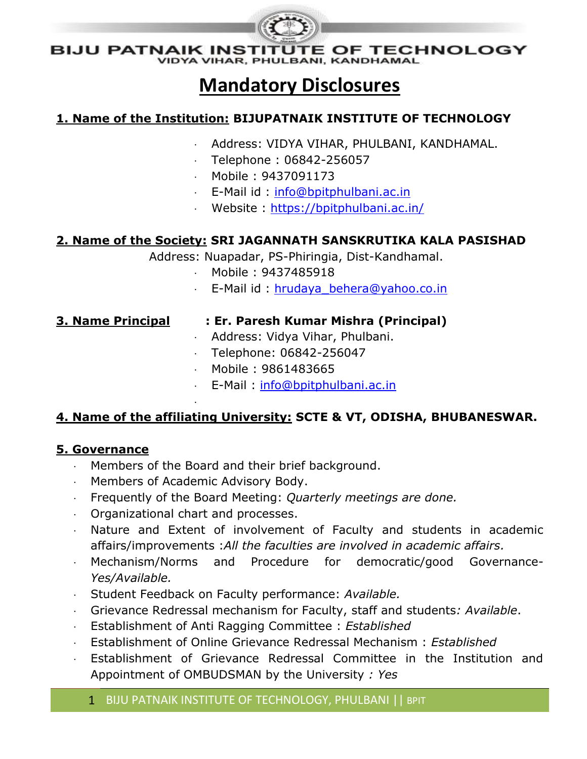

**VAIK INSTITUTE OF TECHNOLOGY**<br>VIDYA VIHAR, PHULBANI, KANDHAMAL BIJU PATNAIK INSTIT

## **Mandatory Disclosures**

#### **1. Name of the Institution: BIJUPATNAIK INSTITUTE OF TECHNOLOGY**

- Address: VIDYA VIHAR, PHULBANI, KANDHAMAL.
- $\cdot$  Telephone : 06842-256057
- Mobile : 9437091173
- E-Mail id: [info@bpitphulbani.ac.in](mailto:info@bpitphulbani.ac.in)
- Website :<https://bpitphulbani.ac.in/>

#### **2. Name of the Society: SRI JAGANNATH SANSKRUTIKA KALA PASISHAD**

Address: Nuapadar, PS-Phiringia, Dist-Kandhamal.

- Mobile : 9437485918
- E-Mail id : [hrudaya\\_behera@yahoo.co.in](mailto:hrudaya_behera@yahoo.co.in)

#### **3. Name Principal : Er. Paresh Kumar Mishra (Principal)**

- Address: Vidya Vihar, Phulbani.
- Telephone: 06842-256047
- Mobile : 9861483665
- E-Mail : [info@bpitphulbani.ac.in](mailto:info@bpitphulbani.ac.in)

#### **4. Name of the affiliating University: SCTE & VT, ODISHA, BHUBANESWAR.**

#### **5. Governance**

- Members of the Board and their brief background.
- Members of Academic Advisory Body.

.

- Frequently of the Board Meeting: *Quarterly meetings are done.*
- Organizational chart and processes.
- Nature and Extent of involvement of Faculty and students in academic affairs/improvements :*All the faculties are involved in academic affairs.*
- Mechanism/Norms and Procedure for democratic/good Governance-*Yes/Available.*
- Student Feedback on Faculty performance: *Available.*
- Grievance Redressal mechanism for Faculty, staff and students*: Available*.
- Establishment of Anti Ragging Committee : *Established*
- Establishment of Online Grievance Redressal Mechanism : *Established*
- Establishment of Grievance Redressal Committee in the Institution and Appointment of OMBUDSMAN by the University *: Yes*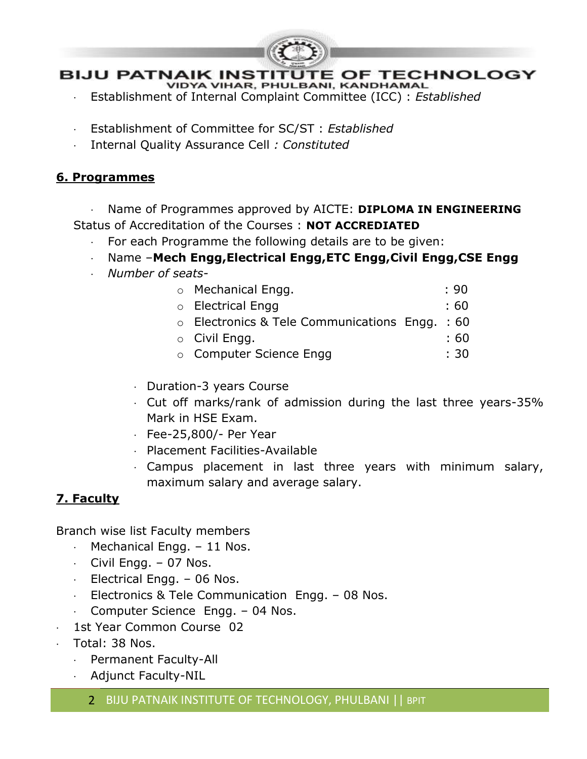

- 
- Establishment of Internal Complaint Committee (ICC) : *Established*
- Establishment of Committee for SC/ST : *Established*
- Internal Quality Assurance Cell *: Constituted*

#### **6. Programmes**

 Name of Programmes approved by AICTE: **DIPLOMA IN ENGINEERING** Status of Accreditation of the Courses : **NOT ACCREDIATED**

- For each Programme the following details are to be given:
- Name –**Mech Engg,Electrical Engg,ETC Engg,Civil Engg,CSE Engg**
- *Number of seats-*

| ○ Mechanical Engg.                                   |  | :90  |
|------------------------------------------------------|--|------|
| ○ Electrical Engg                                    |  | : 60 |
| $\circ$ Electronics & Tele Communications Engg. : 60 |  |      |
| $\circ$ Civil Engg.                                  |  | : 60 |

- o Computer Science Engg : 30
- Duration-3 years Course
- Cut off marks/rank of admission during the last three years-35% Mark in HSE Exam.
- Fee-25,800/- Per Year
- Placement Facilities-Available
- Campus placement in last three years with minimum salary, maximum salary and average salary.

#### **7. Faculty**

Branch wise list Faculty members

- Mechanical Engg. 11 Nos.
- $\cdot$  Civil Engg. 07 Nos.
- Electrical Engg. 06 Nos.
- Electronics & Tele Communication Engg.  $-$  08 Nos.
- Computer Science Engg. 04 Nos.
- 1st Year Common Course 02
- Total: 38 Nos.
	- Permanent Faculty-All
	- Adjunct Faculty-NIL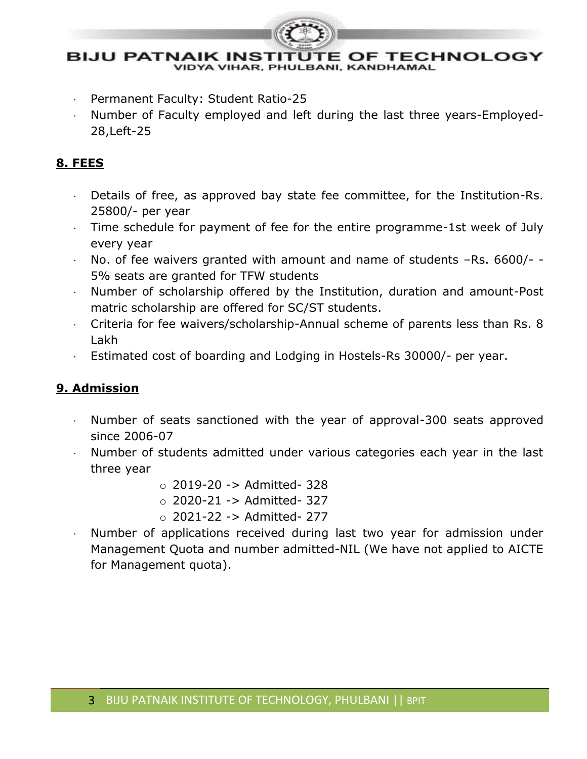

#### **BIJU PATNAIK INSTITUTE OF TECHNOLOGY VIDYA VIHAR, PHULBANI, KANDHAMAL**

- Permanent Faculty: Student Ratio-25
- Number of Faculty employed and left during the last three years-Employed-28,Left-25

#### **8. FEES**

- Details of free, as approved bay state fee committee, for the Institution-Rs. 25800/- per year
- Time schedule for payment of fee for the entire programme-1st week of July every year
- No. of fee waivers granted with amount and name of students –Rs. 6600/- 5% seats are granted for TFW students
- Number of scholarship offered by the Institution, duration and amount-Post matric scholarship are offered for SC/ST students.
- Criteria for fee waivers/scholarship-Annual scheme of parents less than Rs. 8 Lakh
- Estimated cost of boarding and Lodging in Hostels-Rs 30000/- per year.

#### **9. Admission**

- $\cdot$  Number of seats sanctioned with the year of approval-300 seats approved since 2006-07
- Number of students admitted under various categories each year in the last three year
	- $\circ$  2019-20 -> Admitted- 328
	- $\circ$  2020-21 -> Admitted- 327
	- o 2021-22 -> Admitted- 277
- Number of applications received during last two year for admission under Management Quota and number admitted-NIL (We have not applied to AICTE for Management quota).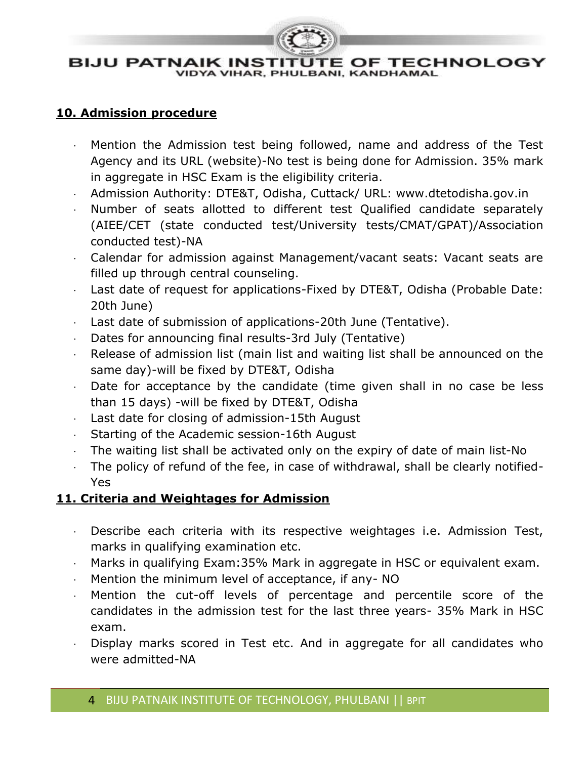

#### **10. Admission procedure**

- Mention the Admission test being followed, name and address of the Test Agency and its URL (website)-No test is being done for Admission. 35% mark in aggregate in HSC Exam is the eligibility criteria.
- Admission Authority: DTE&T, Odisha, Cuttack/ URL: www.dtetodisha.gov.in
- Number of seats allotted to different test Qualified candidate separately (AIEE/CET (state conducted test/University tests/CMAT/GPAT)/Association conducted test)-NA
- Calendar for admission against Management/vacant seats: Vacant seats are filled up through central counseling.
- Last date of request for applications-Fixed by DTE&T, Odisha (Probable Date: 20th June)
- Last date of submission of applications-20th June (Tentative).
- Dates for announcing final results-3rd July (Tentative)
- $\cdot$  Release of admission list (main list and waiting list shall be announced on the same day)-will be fixed by DTE&T, Odisha
- Date for acceptance by the candidate (time given shall in no case be less than 15 days) -will be fixed by DTE&T, Odisha
- Last date for closing of admission-15th August
- Starting of the Academic session-16th August
- The waiting list shall be activated only on the expiry of date of main list-No
- The policy of refund of the fee, in case of withdrawal, shall be clearly notified-Yes

#### **11. Criteria and Weightages for Admission**

- Describe each criteria with its respective weightages i.e. Admission Test, marks in qualifying examination etc.
- Marks in qualifying Exam:35% Mark in aggregate in HSC or equivalent exam.
- Mention the minimum level of acceptance, if any- NO
- Mention the cut-off levels of percentage and percentile score of the candidates in the admission test for the last three years- 35% Mark in HSC exam.
- Display marks scored in Test etc. And in aggregate for all candidates who were admitted-NA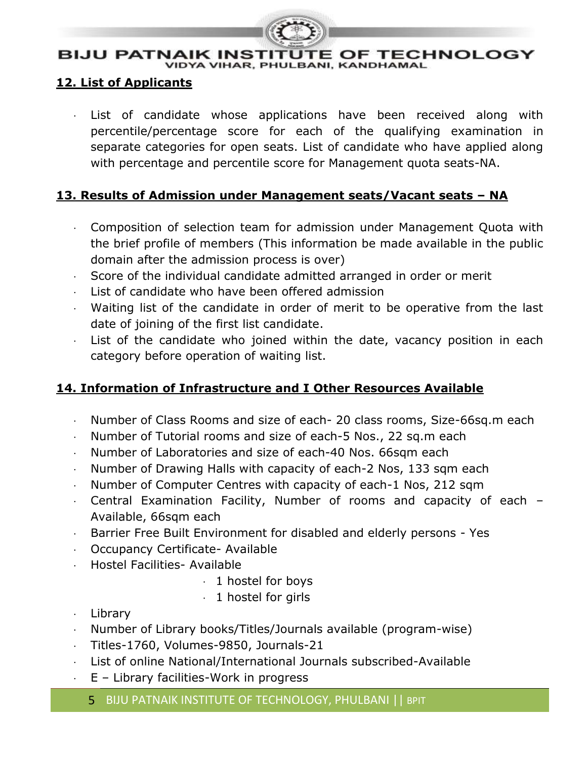

# BIJU PATNAIK INSTITUTE OF TECHNOLOGY<br>VIDYA VIHAR, PHULBANI, KANDHAMAL

#### **12. List of Applicants**

 $\cdot$  List of candidate whose applications have been received along with percentile/percentage score for each of the qualifying examination in separate categories for open seats. List of candidate who have applied along with percentage and percentile score for Management quota seats-NA.

#### **13. Results of Admission under Management seats/Vacant seats – NA**

- Composition of selection team for admission under Management Quota with the brief profile of members (This information be made available in the public domain after the admission process is over)
- Score of the individual candidate admitted arranged in order or merit
- $\cdot$  List of candidate who have been offered admission
- Waiting list of the candidate in order of merit to be operative from the last date of joining of the first list candidate.
- $\cdot$  List of the candidate who joined within the date, vacancy position in each category before operation of waiting list.

#### **14. Information of Infrastructure and I Other Resources Available**

- Number of Class Rooms and size of each- 20 class rooms, Size-66sq.m each
- Number of Tutorial rooms and size of each-5 Nos., 22 sq.m each
- Number of Laboratories and size of each-40 Nos. 66sqm each
- Number of Drawing Halls with capacity of each-2 Nos, 133 sqm each
- Number of Computer Centres with capacity of each-1 Nos, 212 sqm
- Central Examination Facility, Number of rooms and capacity of each Available, 66sqm each
- Barrier Free Built Environment for disabled and elderly persons Yes
- Occupancy Certificate- Available
- Hostel Facilities- Available
	- $\cdot$  1 hostel for boys
	- $\cdot$  1 hostel for girls
- Library
- Number of Library books/Titles/Journals available (program-wise)
- Titles-1760, Volumes-9850, Journals-21
- List of online National/International Journals subscribed-Available
- E Library facilities-Work in progress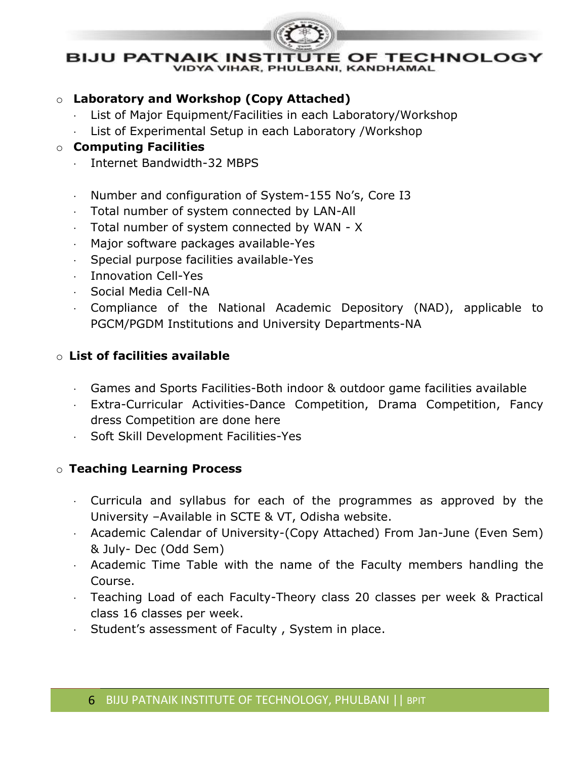

**VIDYA VIHAR, PHULBANI, KANDHAMAL** 

#### o **Laboratory and Workshop (Copy Attached)**

- List of Major Equipment/Facilities in each Laboratory/Workshop
- List of Experimental Setup in each Laboratory /Workshop

#### o **Computing Facilities**

- . Internet Bandwidth-32 MBPS
- Number and configuration of System-155 No's, Core I3
- Total number of system connected by LAN-All
- Total number of system connected by WAN X
- Major software packages available-Yes
- $\cdot$  Special purpose facilities available-Yes
- Innovation Cell-Yes
- Social Media Cell-NA
- Compliance of the National Academic Depository (NAD), applicable to PGCM/PGDM Institutions and University Departments-NA

#### o **List of facilities available**

- Games and Sports Facilities-Both indoor & outdoor game facilities available
- Extra-Curricular Activities-Dance Competition, Drama Competition, Fancy dress Competition are done here
- Soft Skill Development Facilities-Yes

#### o **Teaching Learning Process**

- Curricula and syllabus for each of the programmes as approved by the University –Available in SCTE & VT, Odisha website.
- Academic Calendar of University-(Copy Attached) From Jan-June (Even Sem) & July- Dec (Odd Sem)
- Academic Time Table with the name of the Faculty members handling the Course.
- Teaching Load of each Faculty-Theory class 20 classes per week & Practical class 16 classes per week.
- Student's assessment of Faculty , System in place.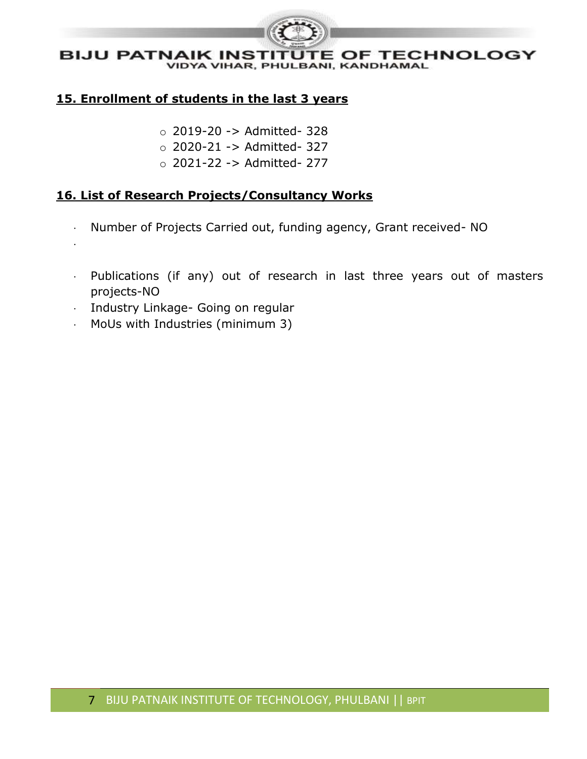

#### **15. Enrollment of students in the last 3 years**

- $\circ$  2019-20 -> Admitted- 328
- o 2020-21 -> Admitted- 327
- o 2021-22 -> Admitted- 277

#### **16. List of Research Projects/Consultancy Works**

- Number of Projects Carried out, funding agency, Grant received- NO
- Publications (if any) out of research in last three years out of masters projects-NO
- Industry Linkage- Going on regular

.

MoUs with Industries (minimum 3)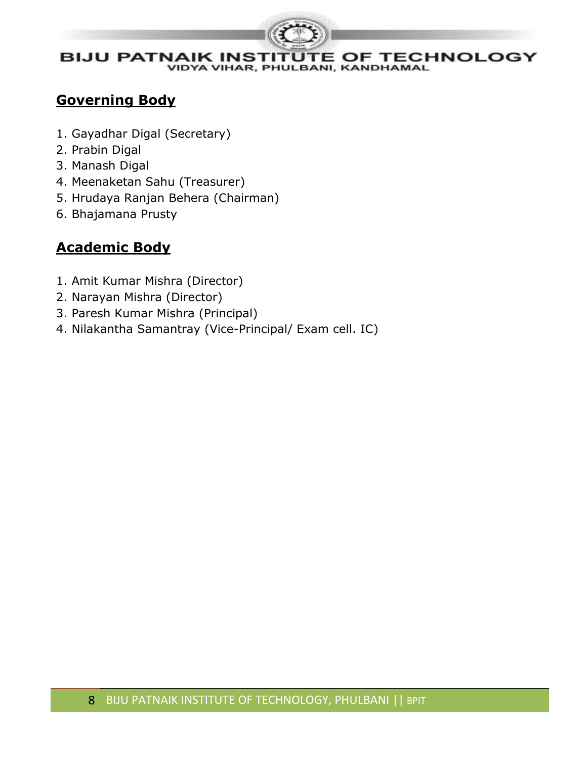

### **Governing Body**

- 1. Gayadhar Digal (Secretary)
- 2. Prabin Digal
- 3. Manash Digal
- 4. Meenaketan Sahu (Treasurer)
- 5. Hrudaya Ranjan Behera (Chairman)
- 6. Bhajamana Prusty

### **Academic Body**

- 1. Amit Kumar Mishra (Director)
- 2. Narayan Mishra (Director)
- 3. Paresh Kumar Mishra (Principal)
- 4. Nilakantha Samantray (Vice-Principal/ Exam cell. IC)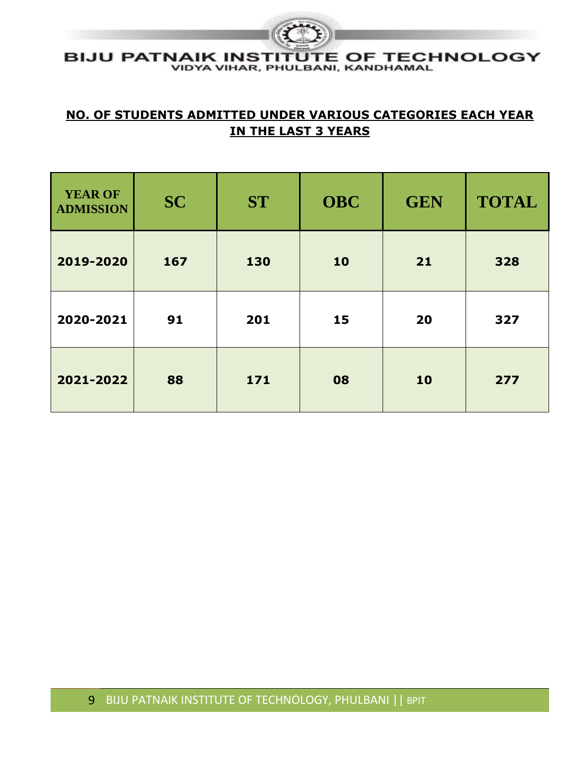#### **BIJU PATNAIK INSTITUTE OF TECHNOLOGY** VIDYA VIHAR, PHULBANI, KANDHAMAL

#### **NO. OF STUDENTS ADMITTED UNDER VARIOUS CATEGORIES EACH YEAR IN THE LAST 3 YEARS**

| YEAR OF<br><b>ADMISSION</b> | <b>SC</b> | <b>ST</b> | <b>OBC</b> | <b>GEN</b> | <b>TOTAL</b> |
|-----------------------------|-----------|-----------|------------|------------|--------------|
| 2019-2020                   | 167       | 130       | 10         | 21         | 328          |
| 2020-2021                   | 91        | 201       | 15         | 20         | 327          |
| 2021-2022                   | 88        | 171       | 08         | 10         | 277          |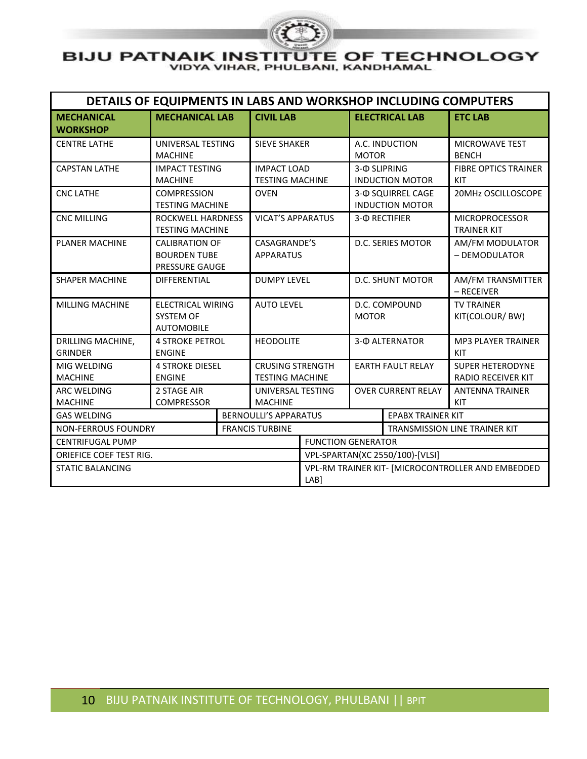

| DETAILS OF EQUIPMENTS IN LABS AND WORKSHOP INCLUDING COMPUTERS |                                                            |                                                                                                                                |                                                   |                                                           |                                        |                                                      |                                             |  |
|----------------------------------------------------------------|------------------------------------------------------------|--------------------------------------------------------------------------------------------------------------------------------|---------------------------------------------------|-----------------------------------------------------------|----------------------------------------|------------------------------------------------------|---------------------------------------------|--|
| <b>MECHANICAL</b><br><b>WORKSHOP</b>                           | <b>MECHANICAL LAB</b>                                      |                                                                                                                                | <b>CIVIL LAB</b>                                  |                                                           |                                        | <b>ELECTRICAL LAB</b>                                | <b>ETC LAB</b>                              |  |
| <b>CENTRE LATHE</b>                                            | UNIVERSAL TESTING<br><b>MACHINE</b>                        |                                                                                                                                | <b>SIEVE SHAKER</b>                               |                                                           | <b>MOTOR</b>                           | A.C. INDUCTION                                       | <b>MICROWAVE TEST</b><br><b>BENCH</b>       |  |
| <b>CAPSTAN LATHE</b>                                           | <b>IMPACT TESTING</b><br><b>MACHINE</b>                    |                                                                                                                                | <b>IMPACT LOAD</b><br><b>TESTING MACHINE</b>      |                                                           | 3-@ SLIPRING<br><b>INDUCTION MOTOR</b> |                                                      | <b>FIBRE OPTICS TRAINER</b><br>KIT          |  |
| <b>CNC LATHE</b>                                               | <b>COMPRESSION</b><br><b>TESTING MACHINE</b>               |                                                                                                                                | <b>OVEN</b>                                       |                                                           |                                        | 3- O SQUIRREL CAGE<br><b>INDUCTION MOTOR</b>         | 20MHz OSCILLOSCOPE                          |  |
| <b>CNC MILLING</b>                                             | ROCKWELL HARDNESS<br><b>TESTING MACHINE</b>                |                                                                                                                                | <b>VICAT'S APPARATUS</b>                          |                                                           |                                        | 3-Ф RECTIFIER                                        | <b>MICROPROCESSOR</b><br><b>TRAINER KIT</b> |  |
| <b>PLANER MACHINE</b>                                          |                                                            | CASAGRANDE'S<br>D.C. SERIES MOTOR<br><b>CALIBRATION OF</b><br><b>BOURDEN TUBE</b><br><b>APPARATUS</b><br><b>PRESSURE GAUGE</b> |                                                   | AM/FM MODULATOR<br>- DEMODULATOR                          |                                        |                                                      |                                             |  |
| <b>SHAPER MACHINE</b>                                          | <b>DIFFERENTIAL</b>                                        |                                                                                                                                | <b>DUMPY LEVEL</b>                                | <b>D.C. SHUNT MOTOR</b>                                   |                                        | AM/FM TRANSMITTER<br>- RECEIVER                      |                                             |  |
| MILLING MACHINE                                                | <b>ELECTRICAL WIRING</b><br>SYSTEM OF<br><b>AUTOMOBILE</b> |                                                                                                                                | <b>AUTO LEVEL</b>                                 |                                                           | D.C. COMPOUND<br><b>MOTOR</b>          |                                                      | <b>TV TRAINER</b><br>KIT(COLOUR/BW)         |  |
| DRILLING MACHINE,<br><b>GRINDER</b>                            | <b>4 STROKE PETROL</b><br><b>ENGINE</b>                    |                                                                                                                                | <b>HEODOLITE</b>                                  |                                                           | 3- @ ALTERNATOR                        |                                                      | <b>MP3 PLAYER TRAINER</b><br>KIT            |  |
| MIG WELDING<br><b>MACHINE</b>                                  | <b>4 STROKE DIESEL</b><br><b>ENGINE</b>                    |                                                                                                                                | <b>CRUSING STRENGTH</b><br><b>TESTING MACHINE</b> | <b>EARTH FAULT RELAY</b>                                  |                                        | <b>SUPER HETERODYNE</b><br><b>RADIO RECEIVER KIT</b> |                                             |  |
| <b>ARC WELDING</b><br><b>MACHINE</b>                           | 2 STAGE AIR<br><b>COMPRESSOR</b>                           |                                                                                                                                | <b>MACHINE</b>                                    | UNIVERSAL TESTING                                         |                                        | <b>OVER CURRENT RELAY</b>                            | <b>ANTENNA TRAINER</b><br>KIT               |  |
| <b>GAS WELDING</b>                                             |                                                            |                                                                                                                                | <b>BERNOULLI'S APPARATUS</b>                      |                                                           | <b>EPABX TRAINER KIT</b>               |                                                      |                                             |  |
| <b>NON-FERROUS FOUNDRY</b>                                     |                                                            |                                                                                                                                | <b>FRANCIS TURBINE</b>                            |                                                           |                                        | <b>TRANSMISSION LINE TRAINER KIT</b>                 |                                             |  |
| <b>CENTRIFUGAL PUMP</b>                                        |                                                            |                                                                                                                                |                                                   | <b>FUNCTION GENERATOR</b>                                 |                                        |                                                      |                                             |  |
| <b>ORIEFICE COEF TEST RIG.</b>                                 |                                                            |                                                                                                                                |                                                   | VPL-SPARTAN(XC 2550/100)-[VLSI]                           |                                        |                                                      |                                             |  |
| <b>STATIC BALANCING</b>                                        |                                                            |                                                                                                                                |                                                   | VPL-RM TRAINER KIT- [MICROCONTROLLER AND EMBEDDED<br>LAB] |                                        |                                                      |                                             |  |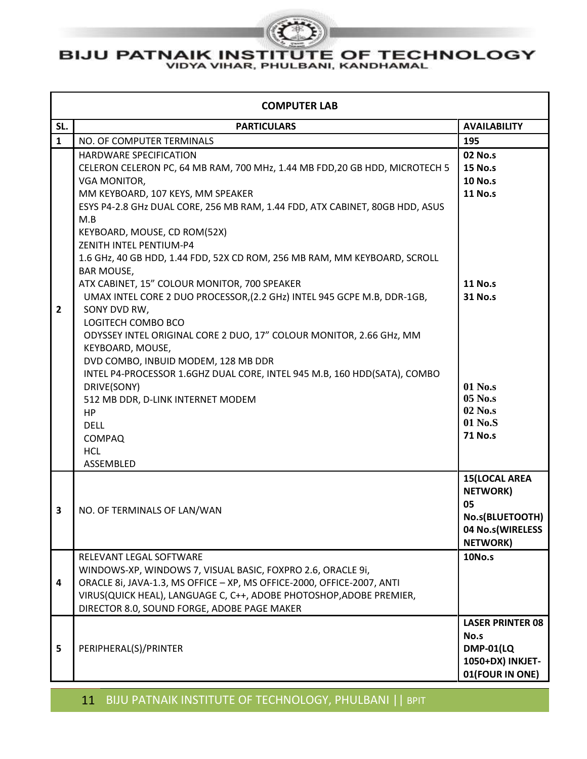

| <b>COMPUTER LAB</b> |                                                                                                                                                                                                                                                                                                                                                                                                                                                                                                                                                                                        |                                                                                                          |  |  |  |  |
|---------------------|----------------------------------------------------------------------------------------------------------------------------------------------------------------------------------------------------------------------------------------------------------------------------------------------------------------------------------------------------------------------------------------------------------------------------------------------------------------------------------------------------------------------------------------------------------------------------------------|----------------------------------------------------------------------------------------------------------|--|--|--|--|
| SL.                 | <b>PARTICULARS</b>                                                                                                                                                                                                                                                                                                                                                                                                                                                                                                                                                                     | <b>AVAILABILITY</b>                                                                                      |  |  |  |  |
| $\mathbf{1}$        | NO. OF COMPUTER TERMINALS                                                                                                                                                                                                                                                                                                                                                                                                                                                                                                                                                              | 195                                                                                                      |  |  |  |  |
| 2                   | <b>HARDWARE SPECIFICATION</b><br>CELERON CELERON PC, 64 MB RAM, 700 MHz, 1.44 MB FDD, 20 GB HDD, MICROTECH 5<br>VGA MONITOR,<br>MM KEYBOARD, 107 KEYS, MM SPEAKER<br>ESYS P4-2.8 GHz DUAL CORE, 256 MB RAM, 1.44 FDD, ATX CABINET, 80GB HDD, ASUS<br>M.B<br>KEYBOARD, MOUSE, CD ROM(52X)<br>ZENITH INTEL PENTIUM-P4<br>1.6 GHz, 40 GB HDD, 1.44 FDD, 52X CD ROM, 256 MB RAM, MM KEYBOARD, SCROLL<br><b>BAR MOUSE,</b><br>ATX CABINET, 15" COLOUR MONITOR, 700 SPEAKER<br>UMAX INTEL CORE 2 DUO PROCESSOR, (2.2 GHz) INTEL 945 GCPE M.B, DDR-1GB,<br>SONY DVD RW,<br>LOGITECH COMBO BCO | <b>02 No.s</b><br><b>15 No.s</b><br><b>10 No.s</b><br><b>11 No.s</b><br><b>11 No.s</b><br><b>31 No.s</b> |  |  |  |  |
|                     | ODYSSEY INTEL ORIGINAL CORE 2 DUO, 17" COLOUR MONITOR, 2.66 GHz, MM<br>KEYBOARD, MOUSE,<br>DVD COMBO, INBUID MODEM, 128 MB DDR<br>INTEL P4-PROCESSOR 1.6GHZ DUAL CORE, INTEL 945 M.B, 160 HDD(SATA), COMBO<br>DRIVE(SONY)<br>512 MB DDR, D-LINK INTERNET MODEM<br>HP<br><b>DELL</b><br><b>COMPAQ</b><br><b>HCL</b><br>ASSEMBLED                                                                                                                                                                                                                                                        | 01 No.s<br>05 No.s<br>02 No.s<br>01 No.S<br><b>71 No.s</b>                                               |  |  |  |  |
| 3                   | NO. OF TERMINALS OF LAN/WAN                                                                                                                                                                                                                                                                                                                                                                                                                                                                                                                                                            | <b>15(LOCAL AREA</b><br><b>NETWORK)</b><br>05<br>No.s(BLUETOOTH)<br>04 No.s(WIRELESS<br><b>NETWORK)</b>  |  |  |  |  |
| 4                   | RELEVANT LEGAL SOFTWARE<br>WINDOWS-XP, WINDOWS 7, VISUAL BASIC, FOXPRO 2.6, ORACLE 9i,<br>ORACLE 8i, JAVA-1.3, MS OFFICE - XP, MS OFFICE-2000, OFFICE-2007, ANTI<br>VIRUS(QUICK HEAL), LANGUAGE C, C++, ADOBE PHOTOSHOP, ADOBE PREMIER,<br>DIRECTOR 8.0, SOUND FORGE, ADOBE PAGE MAKER                                                                                                                                                                                                                                                                                                 | <b>10No.s</b>                                                                                            |  |  |  |  |
| 5                   | PERIPHERAL(S)/PRINTER                                                                                                                                                                                                                                                                                                                                                                                                                                                                                                                                                                  | <b>LASER PRINTER 08</b><br>No.s<br><b>DMP-01(LQ</b><br>1050+DX) INKJET-<br>01(FOUR IN ONE)               |  |  |  |  |